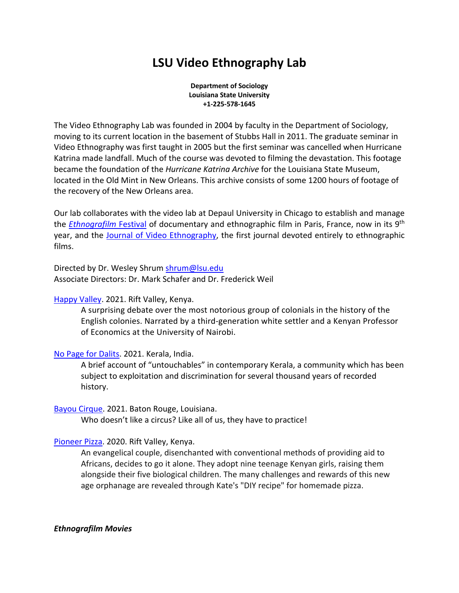# **LSU Video Ethnography Lab**

**Department of Sociology Louisiana State University +1-225-578-1645**

The Video Ethnography Lab was founded in 2004 by faculty in the Department of Sociology, moving to its current location in the basement of Stubbs Hall in 2011. The graduate seminar in Video Ethnography was first taught in 2005 but the first seminar was cancelled when Hurricane Katrina made landfall. Much of the course was devoted to filming the devastation. This footage became the foundation of the *Hurricane Katrina Archive* for the Louisiana State Museum, located in the Old Mint in New Orleans. This archive consists of some 1200 hours of footage of the recovery of the New Orleans area.

Our lab collaborates with the video lab at Depaul University in Chicago to establish and manage the *Ethnografilm* Festival of documentary and ethnographic film in Paris, France, now in its 9th year, and the Journal of Video Ethnography, the first journal devoted entirely to ethnographic films.

Directed by Dr. Wesley Shrum shrum@lsu.edu Associate Directors: Dr. Mark Schafer and Dr. Frederick Weil

Happy Valley. 2021. Rift Valley, Kenya.

A surprising debate over the most notorious group of colonials in the history of the English colonies. Narrated by a third-generation white settler and a Kenyan Professor of Economics at the University of Nairobi.

No Page for Dalits. 2021. Kerala, India.

A brief account of "untouchables" in contemporary Kerala, a community which has been subject to exploitation and discrimination for several thousand years of recorded history.

Bayou Cirque. 2021. Baton Rouge, Louisiana.

Who doesn't like a circus? Like all of us, they have to practice!

Pioneer Pizza. 2020. Rift Valley, Kenya.

An evangelical couple, disenchanted with conventional methods of providing aid to Africans, decides to go it alone. They adopt nine teenage Kenyan girls, raising them alongside their five biological children. The many challenges and rewards of this new age orphanage are revealed through Kate's "DIY recipe" for homemade pizza.

*Ethnografilm Movies*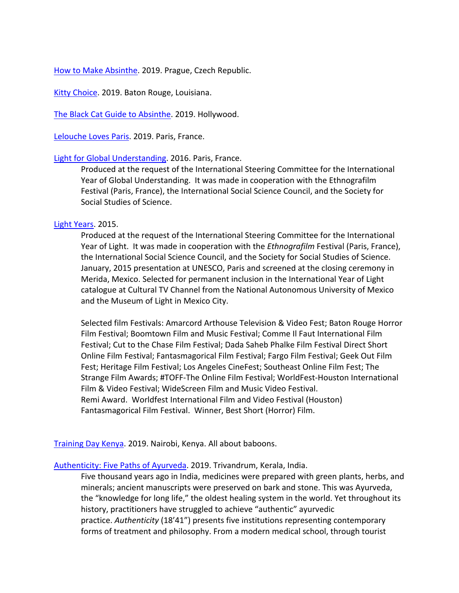How to Make Absinthe. 2019. Prague, Czech Republic.

Kitty Choice. 2019. Baton Rouge, Louisiana.

The Black Cat Guide to Absinthe. 2019. Hollywood.

Lelouche Loves Paris. 2019. Paris, France.

# Light for Global Understanding. 2016. Paris, France.

Produced at the request of the International Steering Committee for the International Year of Global Understanding. It was made in cooperation with the Ethnografilm Festival (Paris, France), the International Social Science Council, and the Society for Social Studies of Science.

# Light Years. 2015.

Produced at the request of the International Steering Committee for the International Year of Light. It was made in cooperation with the *Ethnografilm* Festival (Paris, France), the International Social Science Council, and the Society for Social Studies of Science. January, 2015 presentation at UNESCO, Paris and screened at the closing ceremony in Merida, Mexico. Selected for permanent inclusion in the International Year of Light catalogue at Cultural TV Channel from the National Autonomous University of Mexico and the Museum of Light in Mexico City.

Selected film Festivals: Amarcord Arthouse Television & Video Fest; Baton Rouge Horror Film Festival; Boomtown Film and Music Festival; Comme Il Faut International Film Festival; Cut to the Chase Film Festival; Dada Saheb Phalke Film Festival Direct Short Online Film Festival; Fantasmagorical Film Festival; Fargo Film Festival; Geek Out Film Fest; Heritage Film Festival; Los Angeles CineFest; Southeast Online Film Fest; The Strange Film Awards; #TOFF-The Online Film Festival; WorldFest-Houston International Film & Video Festival; WideScreen Film and Music Video Festival. Remi Award. Worldfest International Film and Video Festival (Houston) Fantasmagorical Film Festival. Winner, Best Short (Horror) Film.

Training Day Kenya. 2019. Nairobi, Kenya. All about baboons.

# Authenticity: Five Paths of Ayurveda. 2019. Trivandrum, Kerala, India.

Five thousand years ago in India, medicines were prepared with green plants, herbs, and minerals; ancient manuscripts were preserved on bark and stone. This was Ayurveda, the "knowledge for long life," the oldest healing system in the world. Yet throughout its history, practitioners have struggled to achieve "authentic" ayurvedic practice. *Authenticity* (18'41") presents five institutions representing contemporary forms of treatment and philosophy. From a modern medical school, through tourist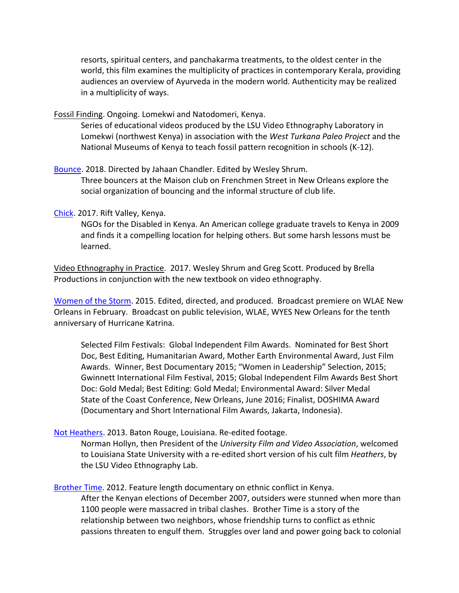resorts, spiritual centers, and panchakarma treatments, to the oldest center in the world, this film examines the multiplicity of practices in contemporary Kerala, providing audiences an overview of Ayurveda in the modern world. Authenticity may be realized in a multiplicity of ways.

Fossil Finding. Ongoing. Lomekwi and Natodomeri, Kenya.

Series of educational videos produced by the LSU Video Ethnography Laboratory in Lomekwi (northwest Kenya) in association with the *West Turkana Paleo Project* and the National Museums of Kenya to teach fossil pattern recognition in schools (K-12).

Bounce. 2018. Directed by Jahaan Chandler. Edited by Wesley Shrum. Three bouncers at the Maison club on Frenchmen Street in New Orleans explore the social organization of bouncing and the informal structure of club life.

## Chick. 2017. Rift Valley, Kenya.

NGOs for the Disabled in Kenya. An American college graduate travels to Kenya in 2009 and finds it a compelling location for helping others. But some harsh lessons must be learned.

Video Ethnography in Practice. 2017. Wesley Shrum and Greg Scott. Produced by Brella Productions in conjunction with the new textbook on video ethnography.

Women of the Storm. 2015. Edited, directed, and produced. Broadcast premiere on WLAE New Orleans in February. Broadcast on public television, WLAE, WYES New Orleans for the tenth anniversary of Hurricane Katrina.

Selected Film Festivals: Global Independent Film Awards. Nominated for Best Short Doc, Best Editing, Humanitarian Award, Mother Earth Environmental Award, Just Film Awards. Winner, Best Documentary 2015; "Women in Leadership" Selection, 2015; Gwinnett International Film Festival, 2015; Global Independent Film Awards Best Short Doc: Gold Medal; Best Editing: Gold Medal; Environmental Award: Silver Medal State of the Coast Conference, New Orleans, June 2016; Finalist, DOSHIMA Award (Documentary and Short International Film Awards, Jakarta, Indonesia).

# Not Heathers. 2013. Baton Rouge, Louisiana. Re-edited footage.

Norman Hollyn, then President of the *University Film and Video Association*, welcomed to Louisiana State University with a re-edited short version of his cult film *Heathers*, by the LSU Video Ethnography Lab.

Brother Time. 2012. Feature length documentary on ethnic conflict in Kenya. After the Kenyan elections of December 2007, outsiders were stunned when more than 1100 people were massacred in tribal clashes. Brother Time is a story of the relationship between two neighbors, whose friendship turns to conflict as ethnic passions threaten to engulf them. Struggles over land and power going back to colonial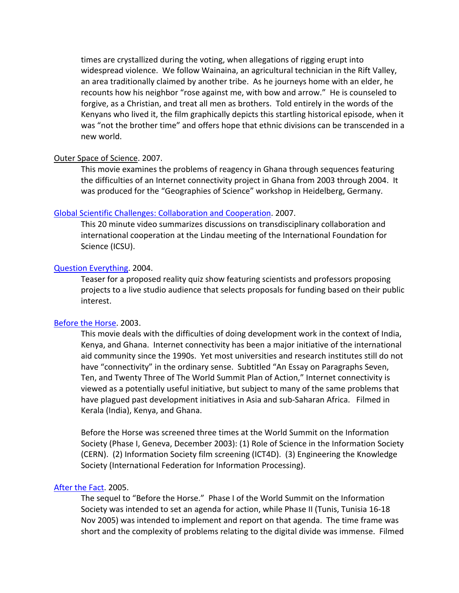times are crystallized during the voting, when allegations of rigging erupt into widespread violence. We follow Wainaina, an agricultural technician in the Rift Valley, an area traditionally claimed by another tribe. As he journeys home with an elder, he recounts how his neighbor "rose against me, with bow and arrow." He is counseled to forgive, as a Christian, and treat all men as brothers. Told entirely in the words of the Kenyans who lived it, the film graphically depicts this startling historical episode, when it was "not the brother time" and offers hope that ethnic divisions can be transcended in a new world.

# Outer Space of Science. 2007.

This movie examines the problems of reagency in Ghana through sequences featuring the difficulties of an Internet connectivity project in Ghana from 2003 through 2004. It was produced for the "Geographies of Science" workshop in Heidelberg, Germany.

## Global Scientific Challenges: Collaboration and Cooperation. 2007.

This 20 minute video summarizes discussions on transdisciplinary collaboration and international cooperation at the Lindau meeting of the International Foundation for Science (ICSU).

#### Question Everything. 2004.

Teaser for a proposed reality quiz show featuring scientists and professors proposing projects to a live studio audience that selects proposals for funding based on their public interest.

#### Before the Horse. 2003.

This movie deals with the difficulties of doing development work in the context of India, Kenya, and Ghana. Internet connectivity has been a major initiative of the international aid community since the 1990s. Yet most universities and research institutes still do not have "connectivity" in the ordinary sense. Subtitled "An Essay on Paragraphs Seven, Ten, and Twenty Three of The World Summit Plan of Action," Internet connectivity is viewed as a potentially useful initiative, but subject to many of the same problems that have plagued past development initiatives in Asia and sub-Saharan Africa. Filmed in Kerala (India), Kenya, and Ghana.

Before the Horse was screened three times at the World Summit on the Information Society (Phase I, Geneva, December 2003): (1) Role of Science in the Information Society (CERN). (2) Information Society film screening (ICT4D). (3) Engineering the Knowledge Society (International Federation for Information Processing).

#### After the Fact. 2005.

The sequel to "Before the Horse." Phase I of the World Summit on the Information Society was intended to set an agenda for action, while Phase II (Tunis, Tunisia 16-18 Nov 2005) was intended to implement and report on that agenda. The time frame was short and the complexity of problems relating to the digital divide was immense. Filmed